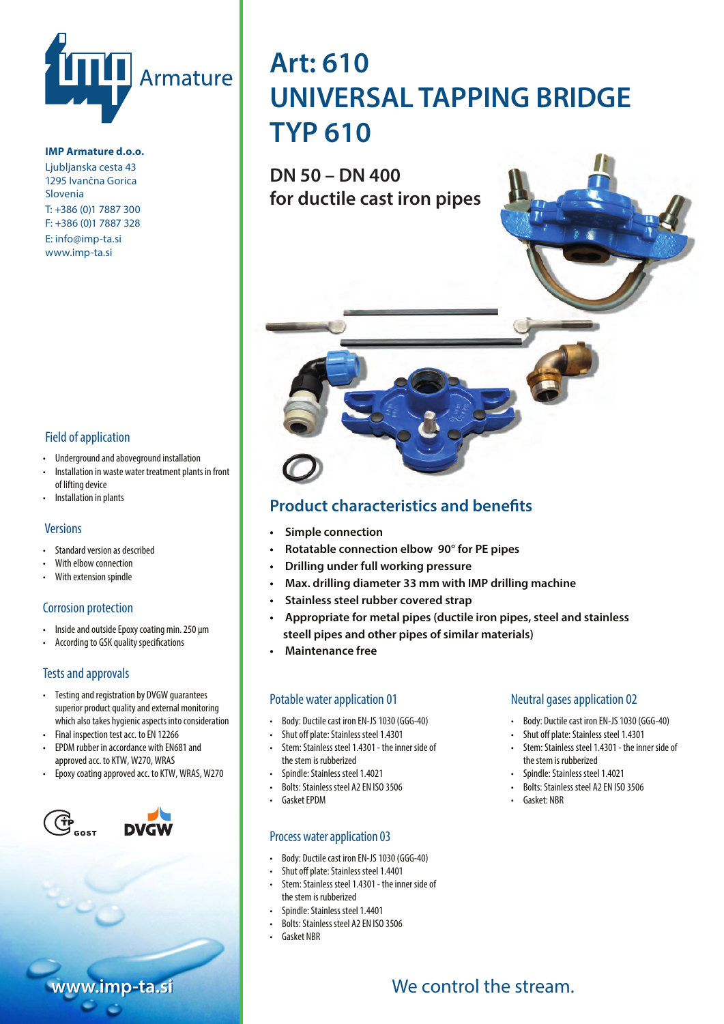

#### **IMP Armature d.o.o.**

Ljubljanska cesta 43 1295 Ivančna Gorica Slovenia T: +386 (0)1 7887 300 F: +386 (0)1 7887 328 E: info@imp-ta.si www.imp-ta.si

#### Field of application

- Underground and aboveground installation
- Installation in waste water treatment plants in front of lifting device
- Installation in plants

#### **Versions**

- Standard version as described
- With elbow connection
- With extension spindle

#### Corrosion protection

- Inside and outside Epoxy coating min. 250 μm
- According to GSK quality specifications

### Tests and approvals

- Preizkusi in certikati Testing and registration by DVGW guarantees superior product quality and external monitoring which also takes hygienic aspects into consideration
- Final inspection test acc. to EN 12266
- EPDM rubber in accordance with EN681 and approved acc. to KTW, W270, WRAS
- Epoxy coating approved acc. to KTW, WRAS, W270



# **Art: 610** UNIVERSAL TAPPING BRIDGE **UNI-BRINA TYP 610**

**DN 50 – DN 400**  for ductile cast iron pipes



# **Product characteristics and benefits**

- **•** Simple connection
- **Rotatable connection elbow 90° for PE pipes**
- **Drilling under full working pressure**
- **Max. drilling diameter 33 mm with IMP drilling machine**
- **Stainless steel rubber covered strap**
- **Appropriate for metal pipes (ductile iron pipes, steel and stainless** *steell pipes and other pipes of similar materials***)**
- **Maintenance free**

#### Potable water application 01

- Body: Ductile cast iron EN-JS 1030 (GGG-40)
- Shut off plate: Stainless steel 1.4301
- Stem: Stainless steel 1.4301 the inner side of the stem is rubberized
- Spindle: Stainless steel 1.4021
- Bolts: Stainless steel A2 EN ISO 3506
- Gasket EPDM

## Process water application 03

- Body: Ductile cast iron EN-JS 1030 (GGG-40)
- Gumirano streme: Nerva 1.139<br>• Shut off plate: Stainless steel 1.4401
- Stem: Stainless steel 1.4301 the inner side of • Vreteno: Nerjaveče jeklo 1.4401 the stem is rubberized
- Spindle: Stainless steel 1.4401
- Bolts: Stainless steel A2 EN ISO 3506
- Gasket NBR

#### Neutral gases application 02

- Body: Ductile cast iron EN-JS 1030 (GGG-40)
- Shut off plate: Stainless steel 1.4301
- Stem: Stainless steel 1.4301 the inner side of the stem is rubberized
- Spindle: Stainless steel 1.4021
- Bolts: Stainless steel A2 EN ISO 3506
- Gasket: NBR

**www.imp-ta.si www.imp-ta.si**

# I show that we control the stream.